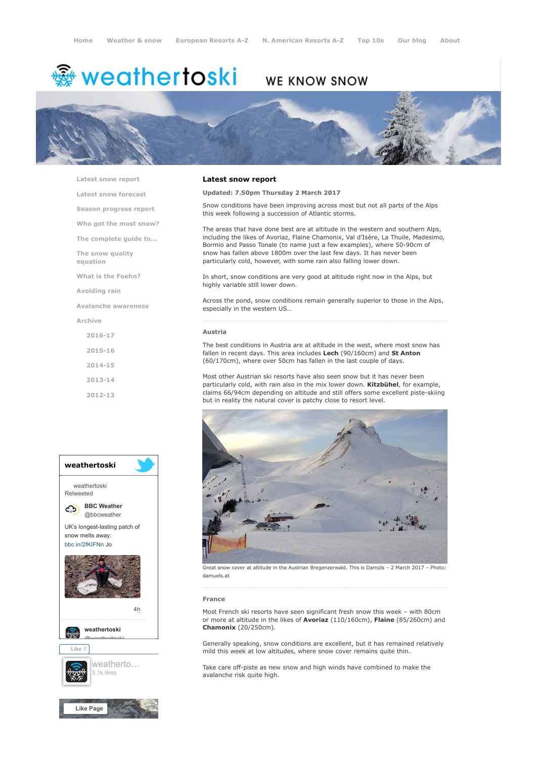# <del>鑾</del> weathertoski

# WE KNOW SNOW



[Latest snow report](https://www.weathertoski.co.uk/weather-snow/latest-snow-report/)

[Latest snow forecast](https://www.weathertoski.co.uk/weather-snow/latest-snow-forecast/) [Season progress report](https://www.weathertoski.co.uk/weather-snow/season-progress-report/)

[Who got the most snow?](https://www.weathertoski.co.uk/weather-snow/who-got-the-most-snow/)

[The complete guide to...](https://www.weathertoski.co.uk/weather-snow/the-complete-guide-to/)

[The snow quality](https://www.weathertoski.co.uk/weather-snow/the-snow-quality-equation/)

[What is the Foehn?](https://www.weathertoski.co.uk/weather-snow/what-is-the-foehn/)

[Avoiding rain](https://www.weathertoski.co.uk/weather-snow/avoiding-rain/)

[Avalanche awareness](https://www.weathertoski.co.uk/weather-snow/avalanche-awareness/)

[Archive](https://www.weathertoski.co.uk/weather-snow/archive/)

equation

- [2016-17](https://www.weathertoski.co.uk/weather-snow/archive/2016-17/) [2015-16](https://www.weathertoski.co.uk/weather-snow/archive/2015-16/) [2014-15](https://www.weathertoski.co.uk/weather-snow/archive/2014-15/) [2013-14](https://www.weathertoski.co.uk/weather-snow/archive/2013-14/)
- [2012-13](https://www.weathertoski.co.uk/weather-snow/archive/2012-13/)



# Latest snow report

Updated: 7.50pm Thursday 2 March 2017

Snow conditions have been improving across most but not all parts of the Alps this week following a succession of Atlantic storms.

The areas that have done best are at altitude in the western and southern Alps, including the likes of Avoriaz, Flaine Chamonix, Val d'Isère, La Thuile, Madesimo, Bormio and Passo Tonale (to name just a few examples), where 50-90cm of snow has fallen above 1800m over the last few days. It has never been particularly cold, however, with some rain also falling lower down.

In short, snow conditions are very good at altitude right now in the Alps, but highly variable still lower down.

Across the pond, snow conditions remain generally superior to those in the Alps, especially in the western US…

#### Austria

The best conditions in Austria are at altitude in the west, where most snow has fallen in recent days. This area includes Lech (90/160cm) and St Anton (60/170cm), where over 50cm has fallen in the last couple of days.

Most other Austrian ski resorts have also seen snow but it has never been particularly cold, with rain also in the mix lower down. Kitzbühel, for example, claims 66/94cm depending on altitude and still offers some excellent piste-skiing but in reality the natural cover is patchy close to resort level.



Great snow cover at altitude in the Austrian Bregenzerwald. This is Damüls – 2 March 2017 – Photo: damuels.at

#### France

Most French ski resorts have seen significant fresh snow this week – with 80cm or more at altitude in the likes of **Avoriaz** (110/160cm), Flaine (85/260cm) and Chamonix (20/250cm).

Generally speaking, snow conditions are excellent, but it has remained relatively mild this week at low altitudes, where snow cover remains quite thin.

Take care off-piste as new snow and high winds have combined to make the avalanche risk quite high.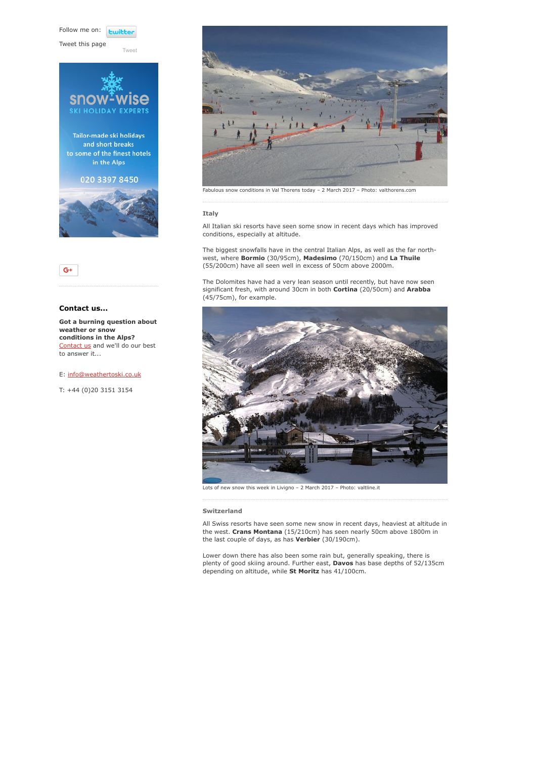Follow me on: **Lwitte** 

Tweet this page





[Tweet](https://twitter.com/intent/tweet?original_referer=https%3A%2F%2Fwww.weathertoski.co.uk%2Fweather-snow%2Farchive%2Fsnow-report-02-03-2017%2F&ref_src=twsrc%5Etfw&text=Weather%20to%20ski%20-%20Snow%20report%20-%202%20March%202017&tw_p=tweetbutton&url=https%3A%2F%2Fwww.weathertoski.co.uk%2Fweather-snow%2Farchive%2Fsnow-report-02-03-2017%2F)



Contact us...

Got a burning question about weather or snow conditions in the Alps? [Contact us](https://www.weathertoski.co.uk/about-1/contact-us/) and we'll do our best to answer it...

E: [info@weathertoski.co.uk](mailto:fraser@weathertoski.co.uk)

T: +44 (0)20 3151 3154



## Italy

All Italian ski resorts have seen some snow in recent days which has improved conditions, especially at altitude.

The biggest snowfalls have in the central Italian Alps, as well as the far northwest, where Bormio (30/95cm), Madesimo (70/150cm) and La Thuile (55/200cm) have all seen well in excess of 50cm above 2000m.

The Dolomites have had a very lean season until recently, but have now seen significant fresh, with around 30cm in both Cortina (20/50cm) and Arabba (45/75cm), for example.



Lots of new snow this week in Livigno - 2 March 2017 - Photo: valtline.it

#### Switzerland

All Swiss resorts have seen some new snow in recent days, heaviest at altitude in the west. Crans Montana (15/210cm) has seen nearly 50cm above 1800m in the last couple of days, as has **Verbier** (30/190cm).

Lower down there has also been some rain but, generally speaking, there is plenty of good skiing around. Further east, Davos has base depths of 52/135cm depending on altitude, while St Moritz has 41/100cm.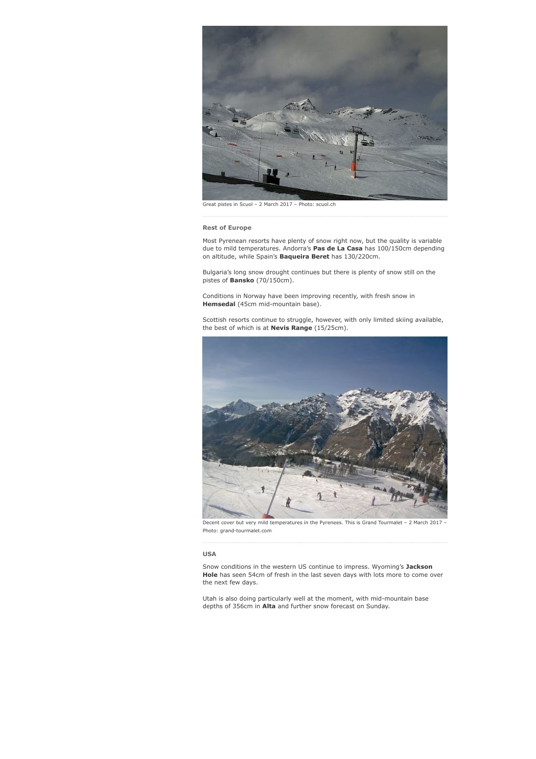

Great pistes in Scuol – 2 March 2017 – Photo: scuol.ch

Rest of Europe

Most Pyrenean resorts have plenty of snow right now, but the quality is variable due to mild temperatures. Andorra's Pas de La Casa has 100/150cm depending on altitude, while Spain's **Baqueira Beret** has 130/220cm.

Bulgaria's long snow drought continues but there is plenty of snow still on the pistes of Bansko (70/150cm).

Conditions in Norway have been improving recently, with fresh snow in Hemsedal (45cm mid-mountain base).

Scottish resorts continue to struggle, however, with only limited skiing available, the best of which is at **Nevis Range** (15/25cm).



Decent cover but very mild temperatures in the Pyrenees. This is Grand Tourmalet - 2 March 2017 -Photo: grand-tourmalet.com

## USA

Snow conditions in the western US continue to impress. Wyoming's Jackson Hole has seen 54cm of fresh in the last seven days with lots more to come over the next few days.

Utah is also doing particularly well at the moment, with mid-mountain base depths of 356cm in Alta and further snow forecast on Sunday.